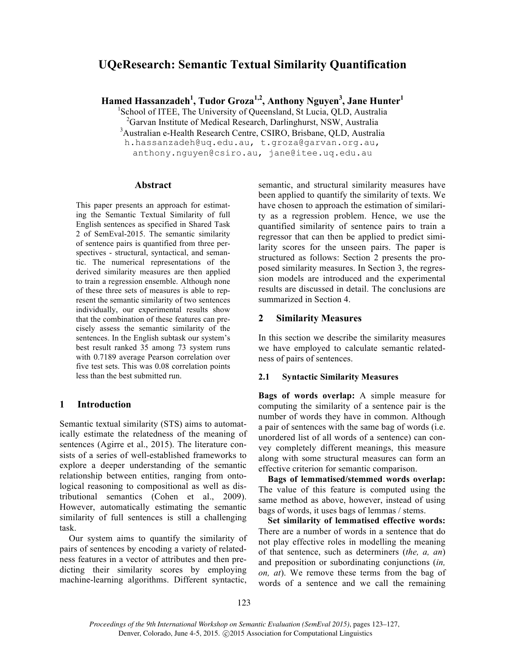# **UQeResearch: Semantic Textual Similarity Quantification**

**Hamed Hassanzadeh<sup>1</sup> , Tudor Groza1,2, Anthony Nguyen3 , Jane Hunter1**

<sup>1</sup>School of ITEE, The University of Queensland, St Lucia, QLD, Australia

<sup>2</sup>Garvan Institute of Medical Research, Darlinghurst, NSW, Australia

3 Australian e-Health Research Centre, CSIRO, Brisbane, QLD, Australia

h.hassanzadeh@uq.edu.au, t.groza@garvan.org.au,

anthony.nguyen@csiro.au, jane@itee.uq.edu.au

### **Abstract**

This paper presents an approach for estimating the Semantic Textual Similarity of full English sentences as specified in Shared Task 2 of SemEval-2015. The semantic similarity of sentence pairs is quantified from three perspectives - structural, syntactical, and semantic. The numerical representations of the derived similarity measures are then applied to train a regression ensemble. Although none of these three sets of measures is able to represent the semantic similarity of two sentences individually, our experimental results show that the combination of these features can precisely assess the semantic similarity of the sentences. In the English subtask our system's best result ranked 35 among 73 system runs with 0.7189 average Pearson correlation over five test sets. This was 0.08 correlation points less than the best submitted run.

### **1 Introduction**

Semantic textual similarity (STS) aims to automatically estimate the relatedness of the meaning of sentences (Agirre et al., 2015). The literature consists of a series of well-established frameworks to explore a deeper understanding of the semantic relationship between entities, ranging from ontological reasoning to compositional as well as distributional semantics (Cohen et al., 2009). However, automatically estimating the semantic similarity of full sentences is still a challenging task.

Our system aims to quantify the similarity of pairs of sentences by encoding a variety of relatedness features in a vector of attributes and then predicting their similarity scores by employing machine-learning algorithms. Different syntactic, semantic, and structural similarity measures have been applied to quantify the similarity of texts. We have chosen to approach the estimation of similarity as a regression problem. Hence, we use the quantified similarity of sentence pairs to train a regressor that can then be applied to predict similarity scores for the unseen pairs. The paper is structured as follows: Section 2 presents the proposed similarity measures. In Section 3, the regression models are introduced and the experimental results are discussed in detail. The conclusions are summarized in Section 4.

### **2 Similarity Measures**

In this section we describe the similarity measures we have employed to calculate semantic relatedness of pairs of sentences.

#### **2.1 Syntactic Similarity Measures**

**Bags of words overlap:** A simple measure for computing the similarity of a sentence pair is the number of words they have in common. Although a pair of sentences with the same bag of words (i.e. unordered list of all words of a sentence) can convey completely different meanings, this measure along with some structural measures can form an effective criterion for semantic comparison.

**Bags of lemmatised/stemmed words overlap:** The value of this feature is computed using the same method as above, however, instead of using bags of words, it uses bags of lemmas / stems.

**Set similarity of lemmatised effective words:** There are a number of words in a sentence that do not play effective roles in modelling the meaning of that sentence, such as determiners (*the, a, an*) and preposition or subordinating conjunctions (*in, on, at*). We remove these terms from the bag of words of a sentence and we call the remaining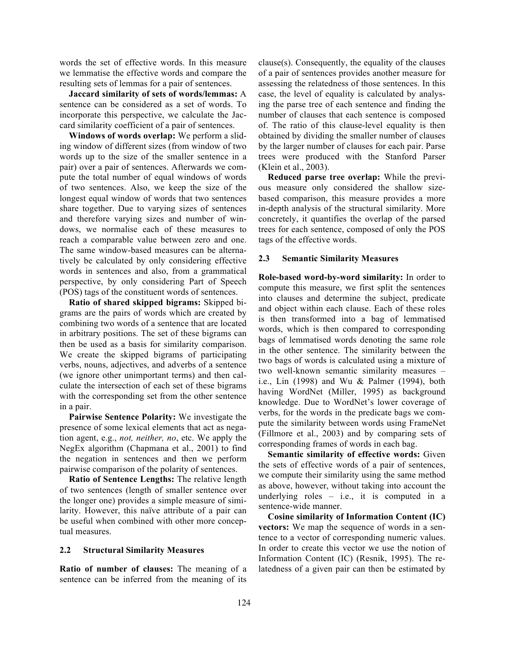words the set of effective words. In this measure we lemmatise the effective words and compare the resulting sets of lemmas for a pair of sentences.

**Jaccard similarity of sets of words/lemmas:** A sentence can be considered as a set of words. To incorporate this perspective, we calculate the Jaccard similarity coefficient of a pair of sentences.

**Windows of words overlap:** We perform a sliding window of different sizes (from window of two words up to the size of the smaller sentence in a pair) over a pair of sentences. Afterwards we compute the total number of equal windows of words of two sentences. Also, we keep the size of the longest equal window of words that two sentences share together. Due to varying sizes of sentences and therefore varying sizes and number of windows, we normalise each of these measures to reach a comparable value between zero and one. The same window-based measures can be alternatively be calculated by only considering effective words in sentences and also, from a grammatical perspective, by only considering Part of Speech (POS) tags of the constituent words of sentences.

**Ratio of shared skipped bigrams:** Skipped bigrams are the pairs of words which are created by combining two words of a sentence that are located in arbitrary positions. The set of these bigrams can then be used as a basis for similarity comparison. We create the skipped bigrams of participating verbs, nouns, adjectives, and adverbs of a sentence (we ignore other unimportant terms) and then calculate the intersection of each set of these bigrams with the corresponding set from the other sentence in a pair.

**Pairwise Sentence Polarity:** We investigate the presence of some lexical elements that act as negation agent, e.g., *not, neither, no*, etc. We apply the NegEx algorithm (Chapmana et al., 2001) to find the negation in sentences and then we perform pairwise comparison of the polarity of sentences.

**Ratio of Sentence Lengths:** The relative length of two sentences (length of smaller sentence over the longer one) provides a simple measure of similarity. However, this naïve attribute of a pair can be useful when combined with other more conceptual measures.

#### **2.2 Structural Similarity Measures**

**Ratio of number of clauses:** The meaning of a sentence can be inferred from the meaning of its clause(s). Consequently, the equality of the clauses of a pair of sentences provides another measure for assessing the relatedness of those sentences. In this case, the level of equality is calculated by analysing the parse tree of each sentence and finding the number of clauses that each sentence is composed of. The ratio of this clause-level equality is then obtained by dividing the smaller number of clauses by the larger number of clauses for each pair. Parse trees were produced with the Stanford Parser (Klein et al., 2003).

**Reduced parse tree overlap:** While the previous measure only considered the shallow sizebased comparison, this measure provides a more in-depth analysis of the structural similarity. More concretely, it quantifies the overlap of the parsed trees for each sentence, composed of only the POS tags of the effective words.

#### **2.3 Semantic Similarity Measures**

**Role-based word-by-word similarity:** In order to compute this measure, we first split the sentences into clauses and determine the subject, predicate and object within each clause. Each of these roles is then transformed into a bag of lemmatised words, which is then compared to corresponding bags of lemmatised words denoting the same role in the other sentence. The similarity between the two bags of words is calculated using a mixture of two well-known semantic similarity measures – i.e., Lin (1998) and Wu & Palmer (1994), both having WordNet (Miller, 1995) as background knowledge. Due to WordNet's lower coverage of verbs, for the words in the predicate bags we compute the similarity between words using FrameNet (Fillmore et al., 2003) and by comparing sets of corresponding frames of words in each bag.

**Semantic similarity of effective words:** Given the sets of effective words of a pair of sentences, we compute their similarity using the same method as above, however, without taking into account the underlying roles – i.e., it is computed in a sentence-wide manner.

**Cosine similarity of Information Content (IC) vectors:** We map the sequence of words in a sentence to a vector of corresponding numeric values. In order to create this vector we use the notion of Information Content (IC) (Resnik, 1995). The relatedness of a given pair can then be estimated by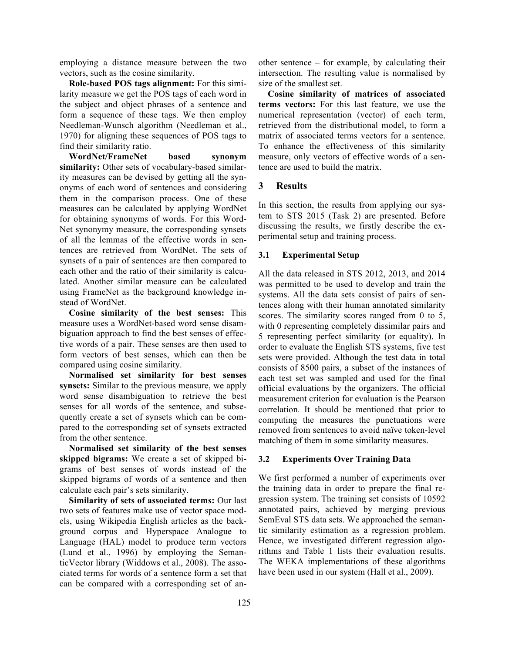employing a distance measure between the two vectors, such as the cosine similarity.

**Role-based POS tags alignment:** For this similarity measure we get the POS tags of each word in the subject and object phrases of a sentence and form a sequence of these tags. We then employ Needleman-Wunsch algorithm (Needleman et al., 1970) for aligning these sequences of POS tags to find their similarity ratio.

**WordNet/FrameNet based synonym similarity:** Other sets of vocabulary-based similarity measures can be devised by getting all the synonyms of each word of sentences and considering them in the comparison process. One of these measures can be calculated by applying WordNet for obtaining synonyms of words. For this Word-Net synonymy measure, the corresponding synsets of all the lemmas of the effective words in sentences are retrieved from WordNet. The sets of synsets of a pair of sentences are then compared to each other and the ratio of their similarity is calculated. Another similar measure can be calculated using FrameNet as the background knowledge instead of WordNet.

**Cosine similarity of the best senses:** This measure uses a WordNet-based word sense disambiguation approach to find the best senses of effective words of a pair. These senses are then used to form vectors of best senses, which can then be compared using cosine similarity.

**Normalised set similarity for best senses synsets:** Similar to the previous measure, we apply word sense disambiguation to retrieve the best senses for all words of the sentence, and subsequently create a set of synsets which can be compared to the corresponding set of synsets extracted from the other sentence.

**Normalised set similarity of the best senses skipped bigrams:** We create a set of skipped bigrams of best senses of words instead of the skipped bigrams of words of a sentence and then calculate each pair's sets similarity.

**Similarity of sets of associated terms:** Our last two sets of features make use of vector space models, using Wikipedia English articles as the background corpus and Hyperspace Analogue to Language (HAL) model to produce term vectors (Lund et al., 1996) by employing the SemanticVector library (Widdows et al., 2008). The associated terms for words of a sentence form a set that can be compared with a corresponding set of another sentence – for example, by calculating their intersection. The resulting value is normalised by size of the smallest set.

**Cosine similarity of matrices of associated terms vectors:** For this last feature, we use the numerical representation (vector) of each term, retrieved from the distributional model, to form a matrix of associated terms vectors for a sentence. To enhance the effectiveness of this similarity measure, only vectors of effective words of a sentence are used to build the matrix.

# **3 Results**

In this section, the results from applying our system to STS 2015 (Task 2) are presented. Before discussing the results, we firstly describe the experimental setup and training process.

# **3.1 Experimental Setup**

All the data released in STS 2012, 2013, and 2014 was permitted to be used to develop and train the systems. All the data sets consist of pairs of sentences along with their human annotated similarity scores. The similarity scores ranged from 0 to 5, with 0 representing completely dissimilar pairs and 5 representing perfect similarity (or equality). In order to evaluate the English STS systems, five test sets were provided. Although the test data in total consists of 8500 pairs, a subset of the instances of each test set was sampled and used for the final official evaluations by the organizers. The official measurement criterion for evaluation is the Pearson correlation. It should be mentioned that prior to computing the measures the punctuations were removed from sentences to avoid naïve token-level matching of them in some similarity measures.

# **3.2 Experiments Over Training Data**

We first performed a number of experiments over the training data in order to prepare the final regression system. The training set consists of 10592 annotated pairs, achieved by merging previous SemEval STS data sets. We approached the semantic similarity estimation as a regression problem. Hence, we investigated different regression algorithms and Table 1 lists their evaluation results. The WEKA implementations of these algorithms have been used in our system (Hall et al., 2009).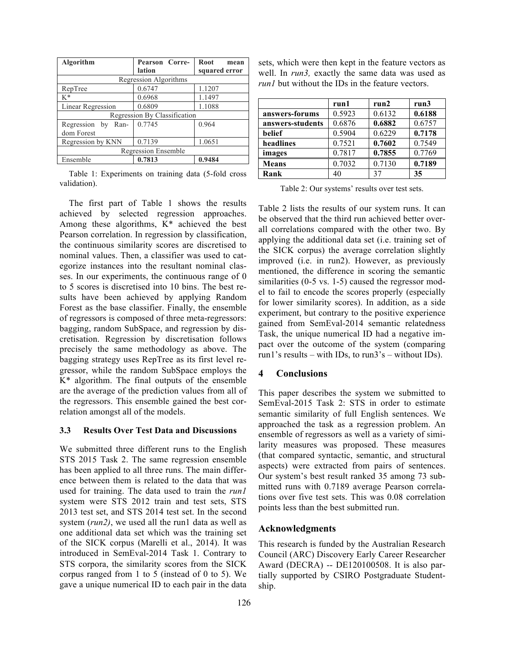| Algorithm                    | Pearson Corre- | Root<br>mean  |  |  |
|------------------------------|----------------|---------------|--|--|
|                              | lation         | squared error |  |  |
| Regression Algorithms        |                |               |  |  |
| RepTree                      | 0.6747         | 1.1207        |  |  |
| K*                           | 0.6968         | 1.1497        |  |  |
| Linear Regression            | 0.6809         | 1.1088        |  |  |
| Regression By Classification |                |               |  |  |
| Regression by Ran-           | 0.7745         | 0.964         |  |  |
| dom Forest                   |                |               |  |  |
| Regression by KNN            | 0.7139         | 1.0651        |  |  |
| Regression Ensemble          |                |               |  |  |
| Ensemble                     | 0.7813         | 0.9484        |  |  |

Table 1: Experiments on training data (5-fold cross validation).

The first part of Table 1 shows the results achieved by selected regression approaches. Among these algorithms, K\* achieved the best Pearson correlation. In regression by classification, the continuous similarity scores are discretised to nominal values. Then, a classifier was used to categorize instances into the resultant nominal classes. In our experiments, the continuous range of 0 to 5 scores is discretised into 10 bins. The best results have been achieved by applying Random Forest as the base classifier. Finally, the ensemble of regressors is composed of three meta-regressors: bagging, random SubSpace, and regression by discretisation. Regression by discretisation follows precisely the same methodology as above. The bagging strategy uses RepTree as its first level regressor, while the random SubSpace employs the K\* algorithm. The final outputs of the ensemble are the average of the prediction values from all of the regressors. This ensemble gained the best correlation amongst all of the models.

#### **3.3 Results Over Test Data and Discussions**

We submitted three different runs to the English STS 2015 Task 2. The same regression ensemble has been applied to all three runs. The main difference between them is related to the data that was used for training. The data used to train the *run1*  system were STS 2012 train and test sets, STS 2013 test set, and STS 2014 test set. In the second system (*run2*), we used all the run1 data as well as one additional data set which was the training set of the SICK corpus (Marelli et al., 2014). It was introduced in SemEval-2014 Task 1. Contrary to STS corpora, the similarity scores from the SICK corpus ranged from 1 to 5 (instead of 0 to 5). We gave a unique numerical ID to each pair in the data sets, which were then kept in the feature vectors as well. In *run3,* exactly the same data was used as *run1* but without the IDs in the feature vectors.

|                  | run1   | run2   | run3   |
|------------------|--------|--------|--------|
| answers-forums   | 0.5923 | 0.6132 | 0.6188 |
| answers-students | 0.6876 | 0.6882 | 0.6757 |
| belief           | 0.5904 | 0.6229 | 0.7178 |
| headlines        | 0.7521 | 0.7602 | 0.7549 |
| images           | 0.7817 | 0.7855 | 0.7769 |
| <b>Means</b>     | 0.7032 | 0.7130 | 0.7189 |
| Rank             | 40     | 37     | 35     |

Table 2: Our systems' results over test sets.

Table 2 lists the results of our system runs. It can be observed that the third run achieved better overall correlations compared with the other two. By applying the additional data set (i.e. training set of the SICK corpus) the average correlation slightly improved (i.e. in run2). However, as previously mentioned, the difference in scoring the semantic similarities (0-5 vs. 1-5) caused the regressor model to fail to encode the scores properly (especially for lower similarity scores). In addition, as a side experiment, but contrary to the positive experience gained from SemEval-2014 semantic relatedness Task, the unique numerical ID had a negative impact over the outcome of the system (comparing run1's results – with IDs, to run3's – without IDs).

# **4 Conclusions**

This paper describes the system we submitted to SemEval-2015 Task 2: STS in order to estimate semantic similarity of full English sentences. We approached the task as a regression problem. An ensemble of regressors as well as a variety of similarity measures was proposed. These measures (that compared syntactic, semantic, and structural aspects) were extracted from pairs of sentences. Our system's best result ranked 35 among 73 submitted runs with 0.7189 average Pearson correlations over five test sets. This was 0.08 correlation points less than the best submitted run.

# **Acknowledgments**

This research is funded by the Australian Research Council (ARC) Discovery Early Career Researcher Award (DECRA) -- DE120100508. It is also partially supported by CSIRO Postgraduate Studentship.